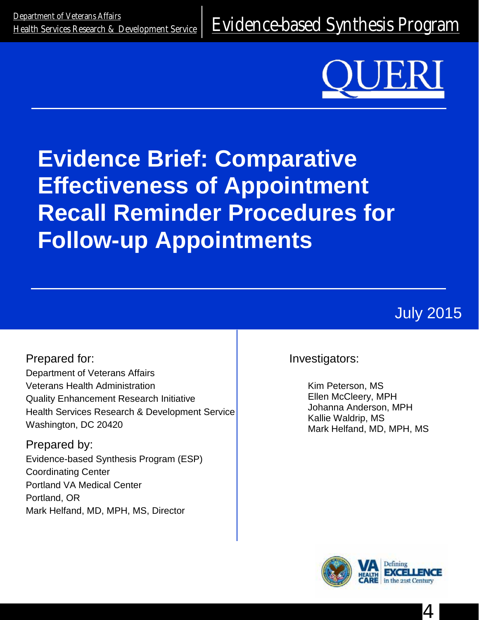<u>Department of Veteralis Alialis</u><br>[Health Services Research & Development Service](http://www.hsrd.research.va.gov/) E**Vidence-based Synthesis Program** 



# **Evidence Brief: Comparative Effectiveness of Appointment Recall Reminder Procedures for Follow-up Appointments**

July 2015

Prepared for: Department of Veterans Affairs Veterans Health Administration Quality Enhancement Research Initiative Health Services Research & Development Service Washington, DC 20420

Prepared by: Evidence-based Synthesis Program (ESP) Coordinating Center Portland VA Medical Center Portland, OR Mark Helfand, MD, MPH, MS, Director

Investigators:

Kim Peterson, MS Ellen McCleery, MPH Johanna Anderson, MPH Kallie Waldrip, MS Mark Helfand, MD, MPH, MS



4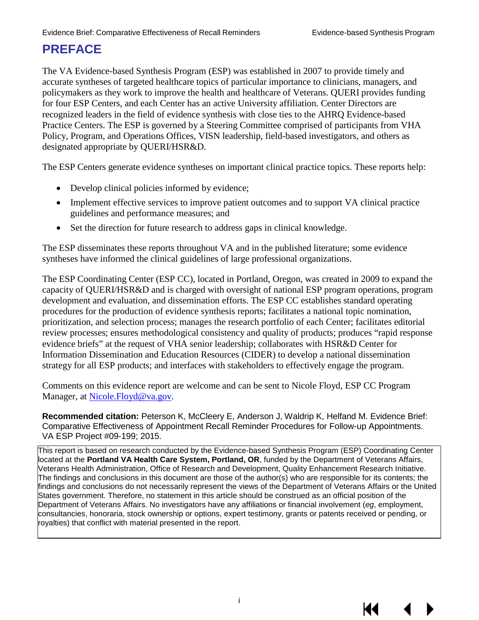# **PREFACE**

The VA Evidence-based Synthesis Program (ESP) was established in 2007 to provide timely and accurate syntheses of targeted healthcare topics of particular importance to clinicians, managers, and policymakers as they work to improve the health and healthcare of Veterans. QUERI provides funding for four ESP Centers, and each Center has an active University affiliation. Center Directors are recognized leaders in the field of evidence synthesis with close ties to the AHRQ Evidence-based Practice Centers. The ESP is governed by a Steering Committee comprised of participants from VHA Policy, Program, and Operations Offices, VISN leadership, field-based investigators, and others as designated appropriate by QUERI/HSR&D.

The ESP Centers generate evidence syntheses on important clinical practice topics. These reports help:

- Develop clinical policies informed by evidence;
- Implement effective services to improve patient outcomes and to support VA clinical practice guidelines and performance measures; and
- Set the direction for future research to address gaps in clinical knowledge.

The ESP disseminates these reports throughout VA and in the published literature; some evidence syntheses have informed the clinical guidelines of large professional organizations.

The ESP Coordinating Center (ESP CC), located in Portland, Oregon, was created in 2009 to expand the capacity of QUERI/HSR&D and is charged with oversight of national ESP program operations, program development and evaluation, and dissemination efforts. The ESP CC establishes standard operating procedures for the production of evidence synthesis reports; facilitates a national topic nomination, prioritization, and selection process; manages the research portfolio of each Center; facilitates editorial review processes; ensures methodological consistency and quality of products; produces "rapid response evidence briefs" at the request of VHA senior leadership; collaborates with HSR&D Center for Information Dissemination and Education Resources (CIDER) to develop a national dissemination strategy for all ESP products; and interfaces with stakeholders to effectively engage the program.

Comments on this evidence report are welcome and can be sent to Nicole Floyd, ESP CC Program Manager, at Nicole. Floyd@va.gov.

**Recommended citation:** Peterson K, McCleery E, Anderson J, Waldrip K, Helfand M. Evidence Brief: Comparative Effectiveness of Appointment Recall Reminder Procedures for Follow-up Appointments. VA ESP Project #09-199; 2015.

This report is based on research conducted by the Evidence-based Synthesis Program (ESP) Coordinating Center located at the **Portland VA Health Care System, Portland, OR**, funded by the Department of Veterans Affairs, Veterans Health Administration, Office of Research and Development, Quality Enhancement Research Initiative. The findings and conclusions in this document are those of the author(s) who are responsible for its contents; the findings and conclusions do not necessarily represent the views of the Department of Veterans Affairs or the United States government. Therefore, no statement in this article should be construed as an official position of the Department of Veterans Affairs. No investigators have any affiliations or financial involvement (*eg*, employment, consultancies, honoraria, stock ownership or options, expert testimony, grants or patents received or pending, or royalties) that conflict with material presented in the report.

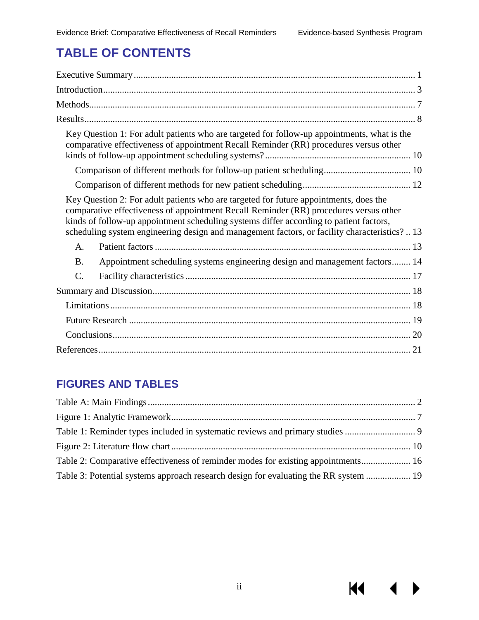**KK** 

# **TABLE OF CONTENTS**

| Key Question 1: For adult patients who are targeted for follow-up appointments, what is the<br>comparative effectiveness of appointment Recall Reminder (RR) procedures versus other                                                                                                                                                                                      |
|---------------------------------------------------------------------------------------------------------------------------------------------------------------------------------------------------------------------------------------------------------------------------------------------------------------------------------------------------------------------------|
|                                                                                                                                                                                                                                                                                                                                                                           |
|                                                                                                                                                                                                                                                                                                                                                                           |
| Key Question 2: For adult patients who are targeted for future appointments, does the<br>comparative effectiveness of appointment Recall Reminder (RR) procedures versus other<br>kinds of follow-up appointment scheduling systems differ according to patient factors,<br>scheduling system engineering design and management factors, or facility characteristics?  13 |
| A.                                                                                                                                                                                                                                                                                                                                                                        |
| Appointment scheduling systems engineering design and management factors 14<br><b>B.</b>                                                                                                                                                                                                                                                                                  |
| C.                                                                                                                                                                                                                                                                                                                                                                        |
|                                                                                                                                                                                                                                                                                                                                                                           |
|                                                                                                                                                                                                                                                                                                                                                                           |
|                                                                                                                                                                                                                                                                                                                                                                           |
|                                                                                                                                                                                                                                                                                                                                                                           |
|                                                                                                                                                                                                                                                                                                                                                                           |

### **FIGURES AND TABLES**

| Table 2: Comparative effectiveness of reminder modes for existing appointments 16    |  |
|--------------------------------------------------------------------------------------|--|
| Table 3: Potential systems approach research design for evaluating the RR system  19 |  |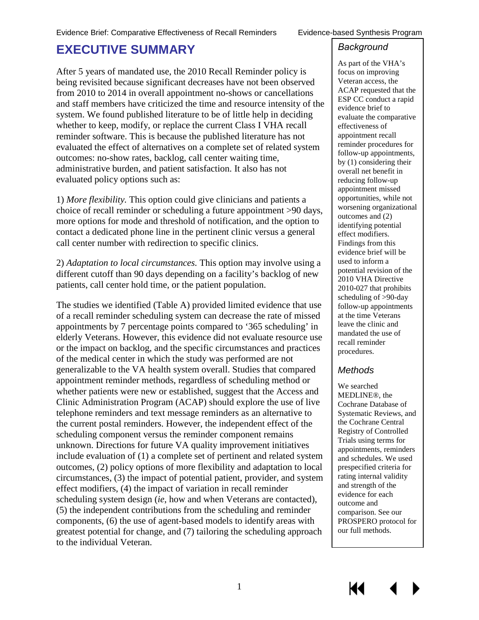# <span id="page-3-0"></span>**EXECUTIVE SUMMARY**

After 5 years of mandated use, the 2010 Recall Reminder policy is being revisited because significant decreases have not been observed from 2010 to 2014 in overall appointment no-shows or cancellations and staff members have criticized the time and resource intensity of the system. We found published literature to be of little help in deciding whether to keep, modify, or replace the current Class I VHA recall reminder software. This is because the published literature has not evaluated the effect of alternatives on a complete set of related system outcomes: no-show rates, backlog, call center waiting time, administrative burden, and patient satisfaction. It also has not evaluated policy options such as:

1) *More flexibility.* This option could give clinicians and patients a choice of recall reminder or scheduling a future appointment >90 days, more options for mode and threshold of notification, and the option to contact a dedicated phone line in the pertinent clinic versus a general call center number with redirection to specific clinics.

2) *Adaptation to local circumstances.* This option may involve using a different cutoff than 90 days depending on a facility's backlog of new patients, call center hold time, or the patient population.

The studies we identified (Table A) provided limited evidence that use of a recall reminder scheduling system can decrease the rate of missed appointments by 7 percentage points compared to '365 scheduling' in elderly Veterans. However, this evidence did not evaluate resource use or the impact on backlog, and the specific circumstances and practices of the medical center in which the study was performed are not generalizable to the VA health system overall. Studies that compared appointment reminder methods, regardless of scheduling method or whether patients were new or established, suggest that the Access and Clinic Administration Program (ACAP) should explore the use of live telephone reminders and text message reminders as an alternative to the current postal reminders. However, the independent effect of the scheduling component versus the reminder component remains unknown. Directions for future VA quality improvement initiatives include evaluation of (1) a complete set of pertinent and related system outcomes, (2) policy options of more flexibility and adaptation to local circumstances, (3) the impact of potential patient, provider, and system effect modifiers, (4) the impact of variation in recall reminder scheduling system design (*ie*, how and when Veterans are contacted), (5) the independent contributions from the scheduling and reminder components, (6) the use of agent-based models to identify areas with greatest potential for change, and (7) tailoring the scheduling approach to the individual Veteran.

#### *Background*

As part of the VHA's focus on improving Veteran access, the ACAP requested that the ESP CC conduct a rapid evidence brief to evaluate the comparative effectiveness of appointment recall reminder procedures for follow-up appointments, by (1) considering their overall net benefit in reducing follow-up appointment missed opportunities, while not worsening organizational outcomes and (2) identifying potential effect modifiers. Findings from this evidence brief will be used to inform a potential revision of the 2010 VHA Directive 2010-027 that prohibits scheduling of >90-day follow-up appointments at the time Veterans leave the clinic and mandated the use of recall reminder procedures.

#### *Methods*

We searched MEDLINE®, the Cochrane Database of Systematic Reviews, and the Cochrane Central Registry of Controlled Trials using terms for appointments, reminders and schedules. We used prespecified criteria for rating internal validity and strength of the evidence for each outcome and comparison. See our PROSPERO protocol for our full methods.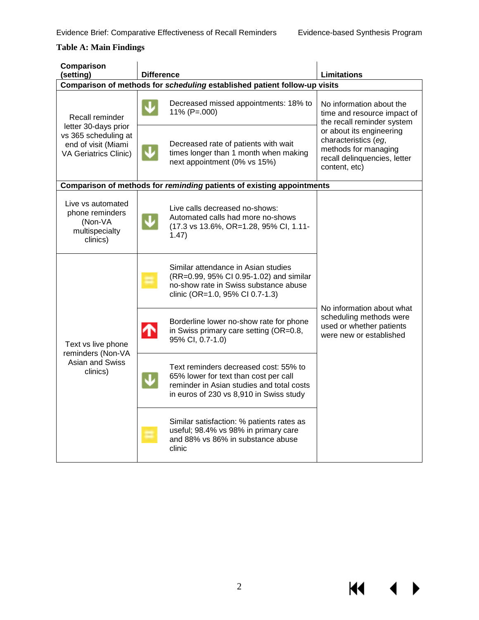$\blacklozenge$ 

KI I

#### <span id="page-4-0"></span>**Table A: Main Findings**

| Comparison<br>(setting)                                                                                                | <b>Difference</b>                                                                                                                                                      | <b>Limitations</b>                                                                                                        |
|------------------------------------------------------------------------------------------------------------------------|------------------------------------------------------------------------------------------------------------------------------------------------------------------------|---------------------------------------------------------------------------------------------------------------------------|
| Comparison of methods for scheduling established patient follow-up visits                                              |                                                                                                                                                                        |                                                                                                                           |
| Recall reminder<br>letter 30-days prior<br>vs 365 scheduling at<br>end of visit (Miami<br><b>VA Geriatrics Clinic)</b> | Decreased missed appointments: 18% to<br>11% (P=.000)                                                                                                                  | No information about the<br>time and resource impact of<br>the recall reminder system                                     |
|                                                                                                                        | Decreased rate of patients with wait<br>times longer than 1 month when making<br>next appointment (0% vs 15%)                                                          | or about its engineering<br>characteristics (eg,<br>methods for managing<br>recall delinquencies, letter<br>content, etc) |
|                                                                                                                        | Comparison of methods for reminding patients of existing appointments                                                                                                  |                                                                                                                           |
| Live vs automated<br>phone reminders<br>(Non-VA<br>multispecialty<br>clinics)                                          | Live calls decreased no-shows:<br>Automated calls had more no-shows<br>(17.3 vs 13.6%, OR=1.28, 95% CI, 1.11-<br>1.47)                                                 |                                                                                                                           |
|                                                                                                                        | Similar attendance in Asian studies<br>(RR=0.99, 95% CI 0.95-1.02) and similar<br>no-show rate in Swiss substance abuse<br>clinic (OR=1.0, 95% CI 0.7-1.3)             | No information about what                                                                                                 |
| Text vs live phone<br>reminders (Non-VA                                                                                | Borderline lower no-show rate for phone<br>in Swiss primary care setting (OR=0.8,<br>T<br>95% CI, 0.7-1.0)                                                             | scheduling methods were<br>used or whether patients<br>were new or established                                            |
| Asian and Swiss<br>clinics)                                                                                            | Text reminders decreased cost: 55% to<br>65% lower for text than cost per call<br>reminder in Asian studies and total costs<br>in euros of 230 vs 8,910 in Swiss study |                                                                                                                           |
|                                                                                                                        | Similar satisfaction: % patients rates as<br>useful; 98.4% vs 98% in primary care<br>and 88% vs 86% in substance abuse<br>clinic                                       |                                                                                                                           |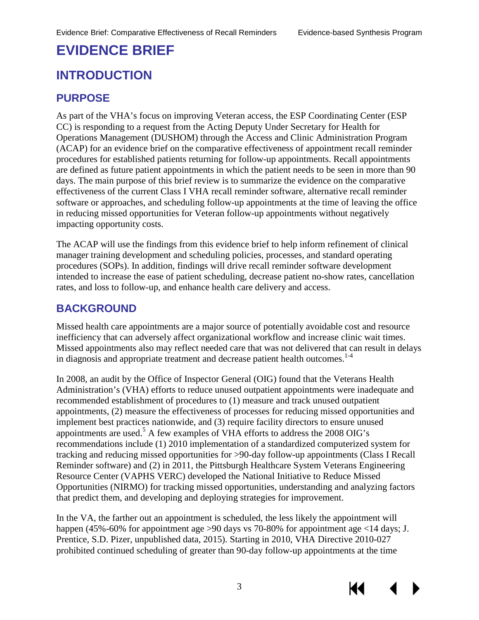# **EVIDENCE BRIEF**

# <span id="page-5-0"></span>**INTRODUCTION**

### **PURPOSE**

As part of the VHA's focus on improving Veteran access, the ESP Coordinating Center (ESP CC) is responding to a request from the Acting Deputy Under Secretary for Health for Operations Management (DUSHOM) through the Access and Clinic Administration Program (ACAP) for an evidence brief on the comparative effectiveness of appointment recall reminder procedures for established patients returning for follow-up appointments. Recall appointments are defined as future patient appointments in which the patient needs to be seen in more than 90 days. The main purpose of this brief review is to summarize the evidence on the comparative effectiveness of the current Class I VHA recall reminder software, alternative recall reminder software or approaches, and scheduling follow-up appointments at the time of leaving the office in reducing missed opportunities for Veteran follow-up appointments without negatively impacting opportunity costs.

The ACAP will use the findings from this evidence brief to help inform refinement of clinical manager training development and scheduling policies, processes, and standard operating procedures (SOPs). In addition, findings will drive recall reminder software development intended to increase the ease of patient scheduling, decrease patient no-show rates, cancellation rates, and loss to follow-up, and enhance health care delivery and access.

#### **BACKGROUND**

Missed health care appointments are a major source of potentially avoidable cost and resource inefficiency that can adversely affect organizational workflow and increase clinic wait times. Missed appointments also may reflect needed care that was not delivered that can result in delays in diagnosis and appropriate treatment and decrease patient health outcomes.<sup>1-4</sup>

In 2008, an audit by the Office of Inspector General (OIG) found that the Veterans Health Administration's (VHA) efforts to reduce unused outpatient appointments were inadequate and recommended establishment of procedures to (1) measure and track unused outpatient appointments, (2) measure the effectiveness of processes for reducing missed opportunities and implement best practices nationwide, and (3) require facility directors to ensure unused appointments are used.<sup>[5](#page-23-2)</sup> A few examples of VHA efforts to address the 2008 OIG's recommendations include (1) 2010 implementation of a standardized computerized system for tracking and reducing missed opportunities for >90-day follow-up appointments (Class I Recall Reminder software) and (2) in 2011, the Pittsburgh Healthcare System Veterans Engineering Resource Center (VAPHS VERC) developed the National Initiative to Reduce Missed Opportunities (NIRMO) for tracking missed opportunities, understanding and analyzing factors that predict them, and developing and deploying strategies for improvement.

In the VA, the farther out an appointment is scheduled, the less likely the appointment will happen (45%-60% for appointment age >90 days vs 70-80% for appointment age <14 days; J. Prentice, S.D. Pizer, unpublished data, 2015). Starting in 2010, VHA Directive 2010-027 prohibited continued scheduling of greater than 90-day follow-up appointments at the time

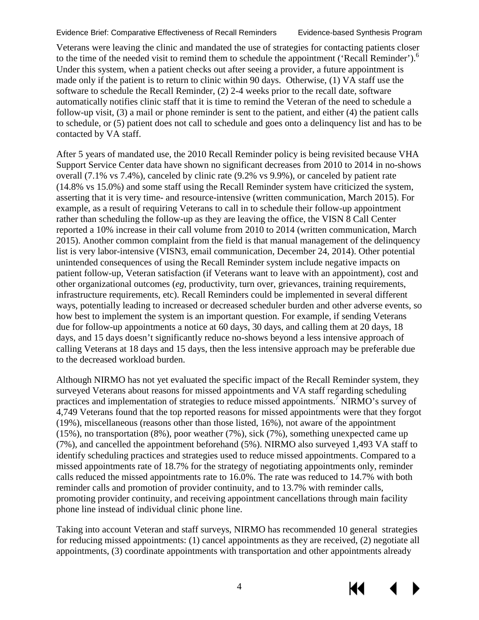К

Veterans were leaving the clinic and mandated the use of strategies for contacting patients closer to the time of the needed visit to remind them to schedule the appointment ('Recall Reminder').<sup>6</sup> Under this system, when a patient checks out after seeing a provider, a future appointment is made only if the patient is to return to clinic within 90 days. Otherwise, (1) VA staff use the software to schedule the Recall Reminder, (2) 2-4 weeks prior to the recall date, software automatically notifies clinic staff that it is time to remind the Veteran of the need to schedule a follow-up visit, (3) a mail or phone reminder is sent to the patient, and either (4) the patient calls to schedule, or (5) patient does not call to schedule and goes onto a delinquency list and has to be contacted by VA staff.

After 5 years of mandated use, the 2010 Recall Reminder policy is being revisited because VHA Support Service Center data have shown no significant decreases from 2010 to 2014 in no-shows overall (7.1% vs 7.4%), canceled by clinic rate (9.2% vs 9.9%), or canceled by patient rate (14.8% vs 15.0%) and some staff using the Recall Reminder system have criticized the system, asserting that it is very time- and resource-intensive (written communication, March 2015). For example, as a result of requiring Veterans to call in to schedule their follow-up appointment rather than scheduling the follow-up as they are leaving the office, the VISN 8 Call Center reported a 10% increase in their call volume from 2010 to 2014 (written communication, March 2015). Another common complaint from the field is that manual management of the delinquency list is very labor-intensive (VISN3, email communication, December 24, 2014). Other potential unintended consequences of using the Recall Reminder system include negative impacts on patient follow-up, Veteran satisfaction (if Veterans want to leave with an appointment), cost and other organizational outcomes (*eg*, productivity, turn over, grievances, training requirements, infrastructure requirements, etc). Recall Reminders could be implemented in several different ways, potentially leading to increased or decreased scheduler burden and other adverse events, so how best to implement the system is an important question. For example, if sending Veterans due for follow-up appointments a notice at 60 days, 30 days, and calling them at 20 days, 18 days, and 15 days doesn't significantly reduce no-shows beyond a less intensive approach of calling Veterans at 18 days and 15 days, then the less intensive approach may be preferable due to the decreased workload burden.

Although NIRMO has not yet evaluated the specific impact of the Recall Reminder system, they surveyed Veterans about reasons for missed appointments and VA staff regarding scheduling practices and implementation of strategies to reduce missed appointments.<sup>[7](#page-23-4)</sup> NIRMO's survey of 4,749 Veterans found that the top reported reasons for missed appointments were that they forgot (19%), miscellaneous (reasons other than those listed, 16%), not aware of the appointment (15%), no transportation (8%), poor weather (7%), sick (7%), something unexpected came up (7%), and cancelled the appointment beforehand (5%). NIRMO also surveyed 1,493 VA staff to identify scheduling practices and strategies used to reduce missed appointments. Compared to a missed appointments rate of 18.7% for the strategy of negotiating appointments only, reminder calls reduced the missed appointments rate to 16.0%. The rate was reduced to 14.7% with both reminder calls and promotion of provider continuity, and to 13.7% with reminder calls, promoting provider continuity, and receiving appointment cancellations through main facility phone line instead of individual clinic phone line.

Taking into account Veteran and staff surveys, NIRMO has recommended 10 general strategies for reducing missed appointments: (1) cancel appointments as they are received, (2) negotiate all appointments, (3) coordinate appointments with transportation and other appointments already

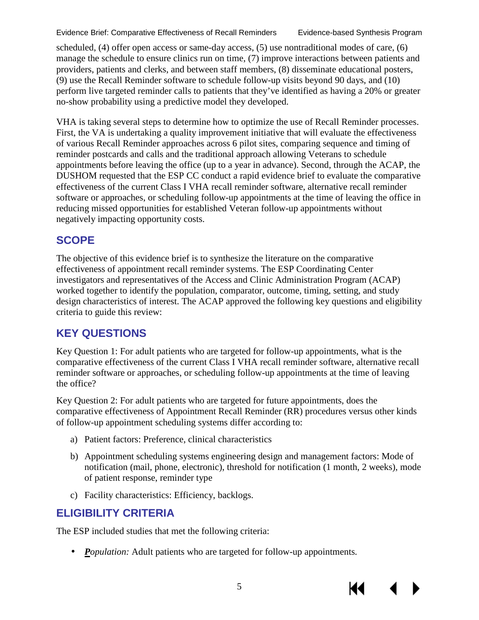К

scheduled, (4) offer open access or same-day access, (5) use nontraditional modes of care, (6) manage the schedule to ensure clinics run on time, (7) improve interactions between patients and providers, patients and clerks, and between staff members, (8) disseminate educational posters, (9) use the Recall Reminder software to schedule follow-up visits beyond 90 days, and (10) perform live targeted reminder calls to patients that they've identified as having a 20% or greater no-show probability using a predictive model they developed.

VHA is taking several steps to determine how to optimize the use of Recall Reminder processes. First, the VA is undertaking a quality improvement initiative that will evaluate the effectiveness of various Recall Reminder approaches across 6 pilot sites, comparing sequence and timing of reminder postcards and calls and the traditional approach allowing Veterans to schedule appointments before leaving the office (up to a year in advance). Second, through the ACAP, the DUSHOM requested that the ESP CC conduct a rapid evidence brief to evaluate the comparative effectiveness of the current Class I VHA recall reminder software, alternative recall reminder software or approaches, or scheduling follow-up appointments at the time of leaving the office in reducing missed opportunities for established Veteran follow-up appointments without negatively impacting opportunity costs.

### **SCOPE**

The objective of this evidence brief is to synthesize the literature on the comparative effectiveness of appointment recall reminder systems. The ESP Coordinating Center investigators and representatives of the Access and Clinic Administration Program (ACAP) worked together to identify the population, comparator, outcome, timing, setting, and study design characteristics of interest. The ACAP approved the following key questions and eligibility criteria to guide this review:

## **KEY QUESTIONS**

Key Question 1: For adult patients who are targeted for follow-up appointments, what is the comparative effectiveness of the current Class I VHA recall reminder software, alternative recall reminder software or approaches, or scheduling follow-up appointments at the time of leaving the office?

Key Question 2: For adult patients who are targeted for future appointments, does the comparative effectiveness of Appointment Recall Reminder (RR) procedures versus other kinds of follow-up appointment scheduling systems differ according to:

- a) Patient factors: Preference, clinical characteristics
- b) Appointment scheduling systems engineering design and management factors: Mode of notification (mail, phone, electronic), threshold for notification (1 month, 2 weeks), mode of patient response, reminder type
- c) Facility characteristics: Efficiency, backlogs.

# **ELIGIBILITY CRITERIA**

The ESP included studies that met the following criteria:

*Population:* Adult patients who are targeted for follow-up appointments.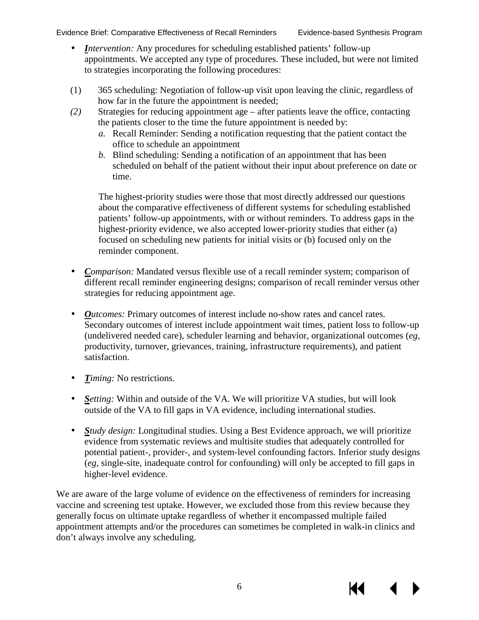К€

- *Intervention:* Any procedures for scheduling established patients' follow-up appointments. We accepted any type of procedures. These included, but were not limited to strategies incorporating the following procedures:
- (1) 365 scheduling: Negotiation of follow-up visit upon leaving the clinic, regardless of how far in the future the appointment is needed;
- *(2)* Strategies for reducing appointment age after patients leave the office, contacting the patients closer to the time the future appointment is needed by:
	- *a.* Recall Reminder: Sending a notification requesting that the patient contact the office to schedule an appointment
	- *b.* Blind scheduling: Sending a notification of an appointment that has been scheduled on behalf of the patient without their input about preference on date or time.

The highest-priority studies were those that most directly addressed our questions about the comparative effectiveness of different systems for scheduling established patients' follow-up appointments, with or without reminders. To address gaps in the highest-priority evidence, we also accepted lower-priority studies that either (a) focused on scheduling new patients for initial visits or (b) focused only on the reminder component.

- *Comparison:* Mandated versus flexible use of a recall reminder system; comparison of different recall reminder engineering designs; comparison of recall reminder versus other strategies for reducing appointment age.
- *Outcomes:* Primary outcomes of interest include no-show rates and cancel rates. Secondary outcomes of interest include appointment wait times, patient loss to follow-up (undelivered needed care), scheduler learning and behavior, organizational outcomes (*eg*, productivity, turnover, grievances, training, infrastructure requirements), and patient satisfaction.
- a. *Timing:* No restrictions.
- *Setting:* Within and outside of the VA. We will prioritize VA studies, but will look outside of the VA to fill gaps in VA evidence, including international studies.
- *Study design:* Longitudinal studies. Using a Best Evidence approach, we will prioritize evidence from systematic reviews and multisite studies that adequately controlled for potential patient-, provider-, and system-level confounding factors. Inferior study designs (*eg*, single-site, inadequate control for confounding) will only be accepted to fill gaps in higher-level evidence.

We are aware of the large volume of evidence on the effectiveness of reminders for increasing vaccine and screening test uptake. However, we excluded those from this review because they generally focus on ultimate uptake regardless of whether it encompassed multiple failed appointment attempts and/or the procedures can sometimes be completed in walk-in clinics and don't always involve any scheduling.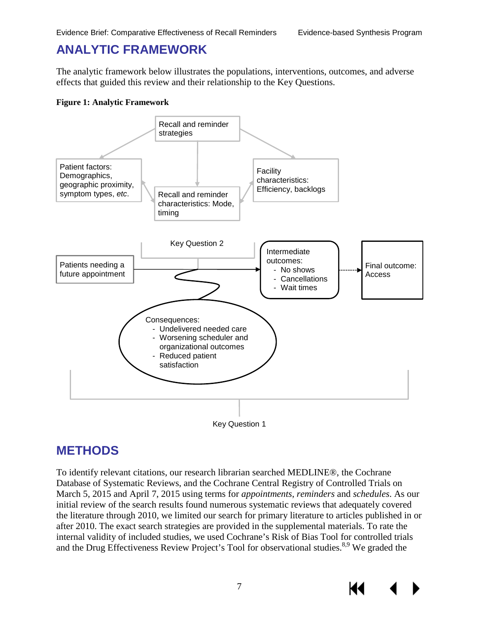## **ANALYTIC FRAMEWORK**

The analytic framework below illustrates the populations, interventions, outcomes, and adverse effects that guided this review and their relationship to the Key Questions.

#### <span id="page-9-1"></span>**Figure 1: Analytic Framework**





## <span id="page-9-0"></span>**METHODS**

To identify relevant citations, our research librarian searched MEDLINE®, the Cochrane Database of Systematic Reviews, and the Cochrane Central Registry of Controlled Trials on March 5, 2015 and April 7, 2015 using terms for *appointments*, *reminders* and *schedules*. As our initial review of the search results found numerous systematic reviews that adequately covered the literature through 2010, we limited our search for primary literature to articles published in or after 2010. The exact search strategies are provided in the supplemental materials. To rate the internal validity of included studies, we used Cochrane's Risk of Bias Tool for controlled trials and the Drug Effectiveness Review Project's Tool for observational studies.<sup>8,9</sup> We graded the

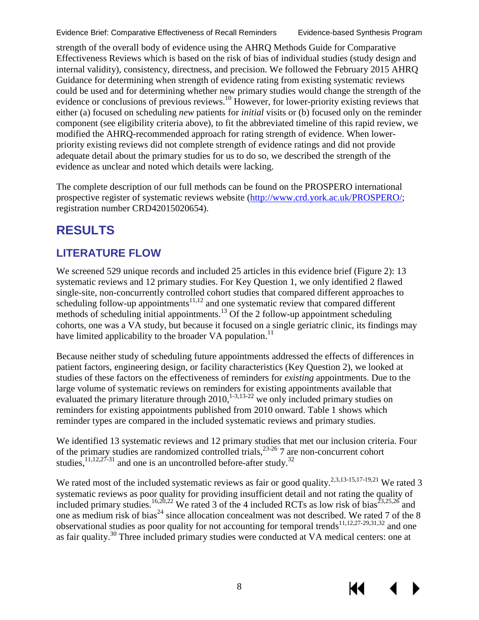К

strength of the overall body of evidence using the AHRQ Methods Guide for Comparative Effectiveness Reviews which is based on the risk of bias of individual studies (study design and internal validity), consistency, directness, and precision. We followed the February 2015 AHRQ Guidance for determining when strength of evidence rating from existing systematic reviews could be used and for determining whether new primary studies would change the strength of the evidence or conclusions of previous reviews.<sup>10</sup> However, for lower-priority existing reviews that either (a) focused on scheduling *new* patients for *initial* visits or (b) focused only on the reminder component (see eligibility criteria above), to fit the abbreviated timeline of this rapid review, we modified the AHRQ-recommended approach for rating strength of evidence. When lowerpriority existing reviews did not complete strength of evidence ratings and did not provide adequate detail about the primary studies for us to do so, we described the strength of the evidence as unclear and noted which details were lacking.

The complete description of our full methods can be found on the PROSPERO international prospective register of systematic reviews website [\(http://www.crd.york.ac.uk/PROSPERO/;](http://www.crd.york.ac.uk/PROSPERO/) registration number CRD42015020654).

# <span id="page-10-0"></span>**RESULTS**

## **LITERATURE FLOW**

We screened 529 unique records and included 25 articles in this evidence brief (Figure 2): 13 systematic reviews and 12 primary studies. For Key Question 1, we only identified 2 flawed single-site, non-concurrently controlled cohort studies that compared different approaches to scheduling follow-up appointments<sup>[11](#page-23-8)[,12](#page-23-9)</sup> and one systematic review that compared different methods of scheduling initial appointments.<sup>13</sup> Of the 2 follow-up appointment scheduling cohorts, one was a VA study, but because it focused on a single geriatric clinic, its findings may have limited applicability to the broader VA population.<sup>11</sup>

Because neither study of scheduling future appointments addressed the effects of differences in patient factors, engineering design, or facility characteristics (Key Question 2), we looked at studies of these factors on the effectiveness of reminders for *existing* appointments. Due to the large volume of systematic reviews on reminders for existing appointments available that evaluated the primary literature through  $2010$ ,<sup>1-3,[13-22](#page-23-10)</sup> we only included primary studies on reminders for existing appointments published from 2010 onward. Table 1 shows which reminder types are compared in the included systematic reviews and primary studies.

We identified 13 systematic reviews and 12 primary studies that met our inclusion criteria. Four of the primary studies are randomized controlled trials,  $^{23-26}$  7 are non-concurrent cohort studies, $^{11,12,27-31}$  $^{11,12,27-31}$  $^{11,12,27-31}$  $^{11,12,27-31}$  and one is an uncontrolled before-after study.<sup>32</sup>

We rated most of the included systematic reviews as fair or good quality.<sup>2,[3](#page-23-12)[,13-15,](#page-23-10)[17-19](#page-23-13)[,21](#page-24-3)</sup> We rated 3 systematic reviews as poor quality for providing insufficient detail and not rating the quality of included primary studies.<sup>[16,](#page-23-14)[20,](#page-24-4)[22](#page-24-5)</sup> We rated 3 of the 4 included RCTs as low risk of bias<sup>[23,](#page-24-0)[25,](#page-24-6)[26](#page-24-7)</sup> and one as medium risk of bias<sup>[24](#page-24-8)</sup> since allocation concealment was not described. We rated 7 of the 8 observational studies as poor quality for not accounting for temporal trends<sup>[11](#page-23-8)[,12](#page-23-9)[,27-29](#page-24-1)[,31](#page-24-9)[,32](#page-24-2)</sup> and one as fair quality.[30](#page-24-10) Three included primary studies were conducted at VA medical centers: one at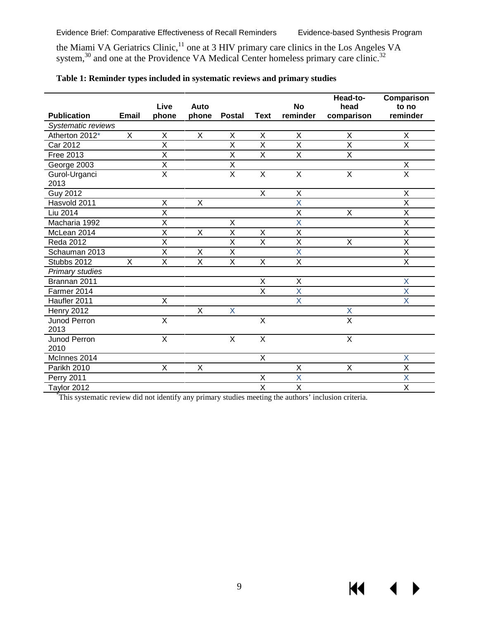the Miami VA Geriatrics Clinic,  $\mathbf{u}$  one at 3 HIV primary care clinics in the Los Angeles VA system, $30$  and one at the Providence VA Medical Center homeless primary care clinic.<sup>32</sup> [11](#page-23-8)

|                            |              |                         |                         |                         |                         |                         | Head-to-                | Comparison              |
|----------------------------|--------------|-------------------------|-------------------------|-------------------------|-------------------------|-------------------------|-------------------------|-------------------------|
|                            |              | Live                    | Auto                    |                         |                         | <b>No</b>               | head                    | to no                   |
| <b>Publication</b>         | <b>Email</b> | phone                   | phone                   | <b>Postal</b>           | <b>Text</b>             | reminder                | comparison              | reminder                |
| Systematic reviews         |              |                         |                         |                         |                         |                         |                         |                         |
| Atherton 2012 <sup>*</sup> | X            | X                       | $\sf X$                 | X                       | X                       | X                       | X                       | $\mathsf{X}$            |
| <b>Car 2012</b>            |              | $\overline{\mathsf{x}}$ |                         | X                       | $\overline{\mathsf{X}}$ | $\overline{\mathsf{X}}$ | $\overline{\mathsf{x}}$ | $\overline{X}$          |
| <b>Free 2013</b>           |              | $\overline{\mathsf{x}}$ |                         | $\overline{X}$          | $\overline{X}$          | $\overline{X}$          | $\overline{\mathsf{x}}$ |                         |
| George 2003                |              | Χ                       |                         | Χ                       |                         |                         |                         | X                       |
| Gurol-Urganci              |              | $\overline{\mathsf{x}}$ |                         | $\overline{X}$          | X                       | X                       | X                       | $\overline{\mathsf{x}}$ |
| 2013                       |              |                         |                         |                         |                         |                         |                         |                         |
| <b>Guy 2012</b>            |              |                         |                         |                         | X                       | X                       |                         | X                       |
| Hasvold 2011               |              | X                       | X                       |                         |                         | $\overline{\mathsf{X}}$ |                         | $\overline{X}$          |
| Liu 2014                   |              | $\overline{\mathsf{x}}$ |                         |                         |                         | X                       | X                       | X                       |
| Macharia 1992              |              | $\sf X$                 |                         | X                       |                         | X                       |                         | $\sf X$                 |
| McLean 2014                |              | $\overline{\mathsf{x}}$ | $\overline{\mathsf{x}}$ | $\overline{\mathsf{x}}$ | $\overline{X}$          | $\overline{\mathsf{x}}$ |                         | $\overline{\mathsf{x}}$ |
| <b>Reda 2012</b>           |              | X                       |                         | X                       | X                       | Χ                       | X                       | X                       |
| Schauman 2013              |              | X                       | X                       | X                       |                         | X                       |                         | X                       |
| Stubbs 2012                | X            | $\overline{X}$          | $\overline{\mathsf{x}}$ | $\overline{\mathsf{x}}$ | X                       | $\overline{X}$          |                         | $\overline{X}$          |
| <b>Primary studies</b>     |              |                         |                         |                         |                         |                         |                         |                         |
| Brannan 2011               |              |                         |                         |                         | X                       | X                       |                         | X                       |
| Farmer 2014                |              |                         |                         |                         | $\overline{\mathsf{x}}$ | $\overline{\mathsf{X}}$ |                         | $\overline{\mathsf{X}}$ |
| Haufler 2011               |              | $\sf X$                 |                         |                         |                         | X                       |                         | X                       |
| <b>Henry 2012</b>          |              |                         | X                       | X                       |                         |                         | X                       |                         |
| Junod Perron               |              | $\overline{\mathsf{x}}$ |                         |                         | $\overline{\mathsf{x}}$ |                         | $\overline{\mathsf{x}}$ |                         |
| 2013                       |              |                         |                         |                         |                         |                         |                         |                         |
| Junod Perron               |              | X                       |                         | X                       | $\overline{X}$          |                         | $\mathsf X$             |                         |
| 2010                       |              |                         |                         |                         |                         |                         |                         |                         |
| McInnes 2014               |              |                         |                         |                         | $\overline{X}$          |                         |                         | X                       |
| Parikh 2010                |              | $\sf X$                 | X                       |                         |                         | $\overline{X}$          | X                       | X                       |
| <b>Perry 2011</b>          |              |                         |                         |                         | X                       | X                       |                         | X                       |
| Taylor 2012                |              |                         |                         |                         | $\overline{\mathsf{x}}$ | X                       |                         | $\overline{\mathsf{X}}$ |

#### <span id="page-11-0"></span>**Table 1: Reminder types included in systematic reviews and primary studies**

\* This systematic review did not identify any primary studies meeting the authors' inclusion criteria.

 $M \rightarrow$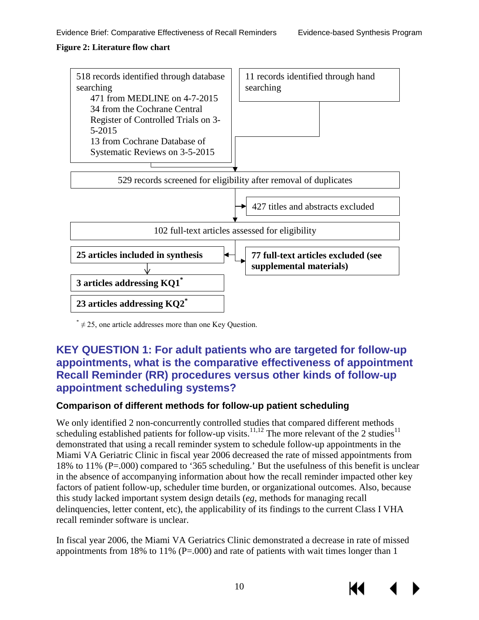#### <span id="page-12-2"></span>**Figure 2: Literature flow chart**



 $* \neq 25$ , one article addresses more than one Key Question.

#### <span id="page-12-0"></span>**KEY QUESTION 1: For adult patients who are targeted for follow-up appointments, what is the comparative effectiveness of appointment Recall Reminder (RR) procedures versus other kinds of follow-up appointment scheduling systems?**

#### <span id="page-12-1"></span>**Comparison of different methods for follow-up patient scheduling**

We only identified 2 non-concurrently controlled studies that compared different methods scheduling established patients for follow-up visits.<sup>11,[12](#page-23-9)</sup> The more relevant of the 2 studies<sup>[11](#page-23-8)</sup> demonstrated that using a recall reminder system to schedule follow-up appointments in the Miami VA Geriatric Clinic in fiscal year 2006 decreased the rate of missed appointments from 18% to 11% (P=.000) compared to '365 scheduling.' But the usefulness of this benefit is unclear in the absence of accompanying information about how the recall reminder impacted other key factors of patient follow-up, scheduler time burden, or organizational outcomes. Also, because this study lacked important system design details (*eg*, methods for managing recall delinquencies, letter content, etc), the applicability of its findings to the current Class I VHA recall reminder software is unclear.

In fiscal year 2006, the Miami VA Geriatrics Clinic demonstrated a decrease in rate of missed appointments from 18% to 11% ( $P = .000$ ) and rate of patients with wait times longer than 1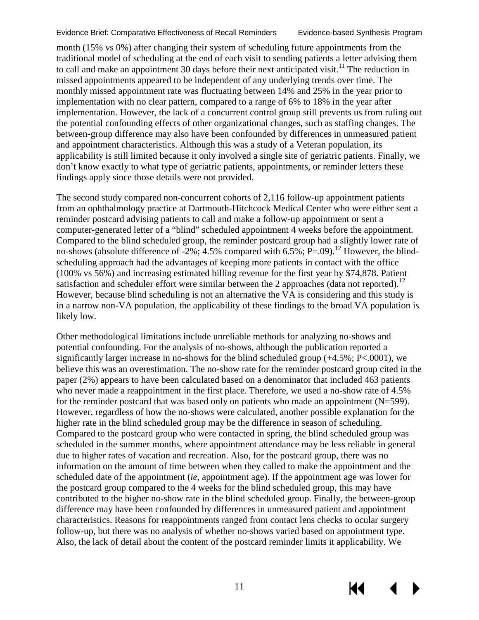КK

month (15% vs 0%) after changing their system of scheduling future appointments from the traditional model of scheduling at the end of each visit to sending patients a letter advising them to call and make an appointment 30 days before their next anticipated visit.<sup>[11](#page-23-8)</sup> The reduction in missed appointments appeared to be independent of any underlying trends over time. The monthly missed appointment rate was fluctuating between 14% and 25% in the year prior to implementation with no clear pattern, compared to a range of 6% to 18% in the year after implementation. However, the lack of a concurrent control group still prevents us from ruling out the potential confounding effects of other organizational changes, such as staffing changes. The between-group difference may also have been confounded by differences in unmeasured patient and appointment characteristics. Although this was a study of a Veteran population, its applicability is still limited because it only involved a single site of geriatric patients. Finally, we don't know exactly to what type of geriatric patients, appointments, or reminder letters these findings apply since those details were not provided.

The second study compared non-concurrent cohorts of 2,116 follow-up appointment patients from an ophthalmology practice at Dartmouth-Hitchcock Medical Center who were either sent a reminder postcard advising patients to call and make a follow-up appointment or sent a computer-generated letter of a "blind" scheduled appointment 4 weeks before the appointment. Compared to the blind scheduled group, the reminder postcard group had a slightly lower rate of no-shows (absolute difference of -2%; 4.5% compared with 6.5%;  $P=0.09$ ).<sup>[12](#page-23-9)</sup> However, the blindscheduling approach had the advantages of keeping more patients in contact with the office (100% vs 56%) and increasing estimated billing revenue for the first year by \$74,878. Patient satisfaction and scheduler effort were similar between the 2 approaches (data not reported).<sup>[12](#page-23-9)</sup> However, because blind scheduling is not an alternative the VA is considering and this study is in a narrow non-VA population, the applicability of these findings to the broad VA population is likely low.

Other methodological limitations include unreliable methods for analyzing no-shows and potential confounding. For the analysis of no-shows, although the publication reported a significantly larger increase in no-shows for the blind scheduled group (+4.5%; P<.0001), we believe this was an overestimation. The no-show rate for the reminder postcard group cited in the paper (2%) appears to have been calculated based on a denominator that included 463 patients who never made a reappointment in the first place. Therefore, we used a no-show rate of 4.5% for the reminder postcard that was based only on patients who made an appointment  $(N=599)$ . However, regardless of how the no-shows were calculated, another possible explanation for the higher rate in the blind scheduled group may be the difference in season of scheduling. Compared to the postcard group who were contacted in spring, the blind scheduled group was scheduled in the summer months, where appointment attendance may be less reliable in general due to higher rates of vacation and recreation. Also, for the postcard group, there was no information on the amount of time between when they called to make the appointment and the scheduled date of the appointment (*ie*, appointment age). If the appointment age was lower for the postcard group compared to the 4 weeks for the blind scheduled group, this may have contributed to the higher no-show rate in the blind scheduled group. Finally, the between-group difference may have been confounded by differences in unmeasured patient and appointment characteristics. Reasons for reappointments ranged from contact lens checks to ocular surgery follow-up, but there was no analysis of whether no-shows varied based on appointment type. Also, the lack of detail about the content of the postcard reminder limits it applicability. We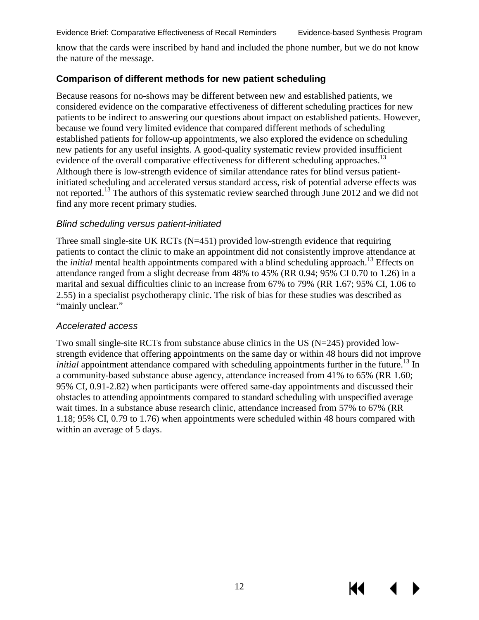know that the cards were inscribed by hand and included the phone number, but we do not know the nature of the message.

#### <span id="page-14-0"></span>**Comparison of different methods for new patient scheduling**

Because reasons for no-shows may be different between new and established patients, we considered evidence on the comparative effectiveness of different scheduling practices for new patients to be indirect to answering our questions about impact on established patients. However, because we found very limited evidence that compared different methods of scheduling established patients for follow-up appointments, we also explored the evidence on scheduling new patients for any useful insights. A good-quality systematic review provided insufficient evidence of the overall comparative effectiveness for different scheduling approaches.<sup>13</sup> Although there is low-strength evidence of similar attendance rates for blind versus patientinitiated scheduling and accelerated versus standard access, risk of potential adverse effects was not reported.<sup>[13](#page-23-10)</sup> The authors of this systematic review searched through June 2012 and we did not find any more recent primary studies.

#### *Blind scheduling versus patient-initiated*

Three small single-site UK RCTs (N=451) provided low-strength evidence that requiring patients to contact the clinic to make an appointment did not consistently improve attendance at the *initial* mental health appointments compared with a blind scheduling approach.<sup>13</sup> Effects on attendance ranged from a slight decrease from 48% to 45% (RR 0.94; 95% CI 0.70 to 1.26) in a marital and sexual difficulties clinic to an increase from 67% to 79% (RR 1.67; 95% CI, 1.06 to 2.55) in a specialist psychotherapy clinic. The risk of bias for these studies was described as "mainly unclear."

#### *Accelerated access*

Two small single-site RCTs from substance abuse clinics in the US (N=245) provided lowstrength evidence that offering appointments on the same day or within 48 hours did not improve *initial* appointment attendance compared with scheduling appointments further in the future.<sup>13</sup> In a community-based substance abuse agency, attendance increased from 41% to 65% (RR 1.60; 95% CI, 0.91-2.82) when participants were offered same-day appointments and discussed their obstacles to attending appointments compared to standard scheduling with unspecified average wait times. In a substance abuse research clinic, attendance increased from 57% to 67% (RR 1.18; 95% CI, 0.79 to 1.76) when appointments were scheduled within 48 hours compared with within an average of 5 days.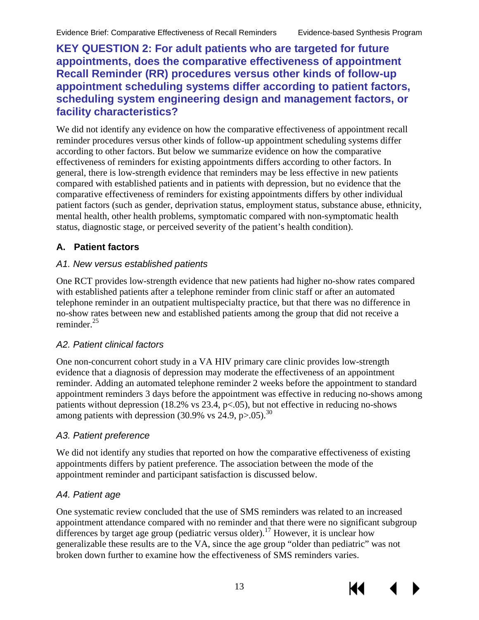КI

<span id="page-15-0"></span>**KEY QUESTION 2: For adult patients who are targeted for future appointments, does the comparative effectiveness of appointment Recall Reminder (RR) procedures versus other kinds of follow-up appointment scheduling systems differ according to patient factors, scheduling system engineering design and management factors, or facility characteristics?**

We did not identify any evidence on how the comparative effectiveness of appointment recall reminder procedures versus other kinds of follow-up appointment scheduling systems differ according to other factors. But below we summarize evidence on how the comparative effectiveness of reminders for existing appointments differs according to other factors. In general, there is low-strength evidence that reminders may be less effective in new patients compared with established patients and in patients with depression, but no evidence that the comparative effectiveness of reminders for existing appointments differs by other individual patient factors (such as gender, deprivation status, employment status, substance abuse, ethnicity, mental health, other health problems, symptomatic compared with non-symptomatic health status, diagnostic stage, or perceived severity of the patient's health condition).

#### <span id="page-15-1"></span>**A. Patient factors**

#### *A1. New versus established patients*

One RCT provides low-strength evidence that new patients had higher no-show rates compared with established patients after a telephone reminder from clinic staff or after an automated telephone reminder in an outpatient multispecialty practice, but that there was no difference in no-show rates between new and established patients among the group that did not receive a reminder[.25](#page-24-6)

#### *A2. Patient clinical factors*

One non-concurrent cohort study in a VA HIV primary care clinic provides low-strength evidence that a diagnosis of depression may moderate the effectiveness of an appointment reminder. Adding an automated telephone reminder 2 weeks before the appointment to standard appointment reminders 3 days before the appointment was effective in reducing no-shows among patients without depression (18.2% vs  $23.4$ , p<.05), but not effective in reducing no-shows among patients with depression  $(30.9\% \text{ vs } 24.9, \text{ p} > .05).$  $(30.9\% \text{ vs } 24.9, \text{ p} > .05).$  $(30.9\% \text{ vs } 24.9, \text{ p} > .05).$ <sup>30</sup>

#### *A3. Patient preference*

We did not identify any studies that reported on how the comparative effectiveness of existing appointments differs by patient preference. The association between the mode of the appointment reminder and participant satisfaction is discussed below.

#### *A4. Patient age*

One systematic review concluded that the use of SMS reminders was related to an increased appointment attendance compared with no reminder and that there were no significant subgroup differences by target age group (pediatric versus older).<sup>[17](#page-23-13)</sup> However, it is unclear how generalizable these results are to the VA, since the age group "older than pediatric" was not broken down further to examine how the effectiveness of SMS reminders varies.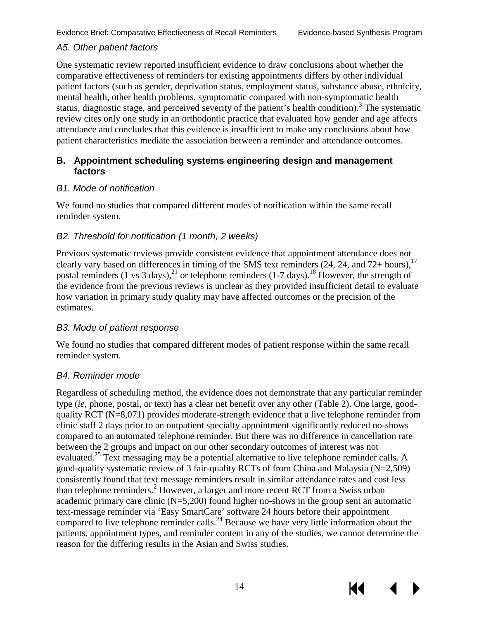КK

#### *A5. Other patient factors*

One systematic review reported insufficient evidence to draw conclusions about whether the comparative effectiveness of reminders for existing appointments differs by other individual patient factors (such as gender, deprivation status, employment status, substance abuse, ethnicity, mental health, other health problems, symptomatic compared with non-symptomatic health status, diagnostic stage, and perceived severity of the patient's health condition).<sup>3</sup> The systematic review cites only one study in an orthodontic practice that evaluated how gender and age affects attendance and concludes that this evidence is insufficient to make any conclusions about how patient characteristics mediate the association between a reminder and attendance outcomes.

#### <span id="page-16-0"></span>**B. Appointment scheduling systems engineering design and management factors**

#### *B1. Mode of notification*

We found no studies that compared different modes of notification within the same recall reminder system.

#### *B2. Threshold for notification (1 month, 2 weeks)*

Previous systematic reviews provide consistent evidence that appointment attendance does not clearly vary based on differences in timing of the SMS text reminders  $(24, 24,$  and  $72+$  hours),<sup>[17](#page-23-13)</sup> postal reminders (1 vs 3 days),<sup>[21](#page-24-3)</sup> or telephone reminders (1-7 days).<sup>[18](#page-24-11)</sup> However, the strength of the evidence from the previous reviews is unclear as they provided insufficient detail to evaluate how variation in primary study quality may have affected outcomes or the precision of the estimates.

#### *B3. Mode of patient response*

We found no studies that compared different modes of patient response within the same recall reminder system.

#### *B4. Reminder mode*

Regardless of scheduling method, the evidence does not demonstrate that any particular reminder type (*ie*, phone, postal, or text) has a clear net benefit over any other (Table 2). One large, goodquality RCT (N=8,071) provides moderate-strength evidence that a live telephone reminder from clinic staff 2 days prior to an outpatient specialty appointment significantly reduced no-shows compared to an automated telephone reminder. But there was no difference in cancellation rate between the 2 groups and impact on our other secondary outcomes of interest was not evaluated.<sup>25</sup> Text messaging may be a potential alternative to live telephone reminder calls. A good-quality systematic review of 3 fair-quality RCTs of from China and Malaysia (N=2,509) consistently found that text message reminders result in similar attendance rates and cost less than telephone reminders.<sup>2</sup> However, a larger and more recent RCT from a Swiss urban academic primary care clinic (N=5,200) found higher no-shows in the group sent an automatic text-message reminder via 'Easy SmartCare' software 24 hours before their appointment compared to live telephone reminder calls.<sup>24</sup> Because we have very little information about the patients, appointment types, and reminder content in any of the studies, we cannot determine the reason for the differing results in the Asian and Swiss studies.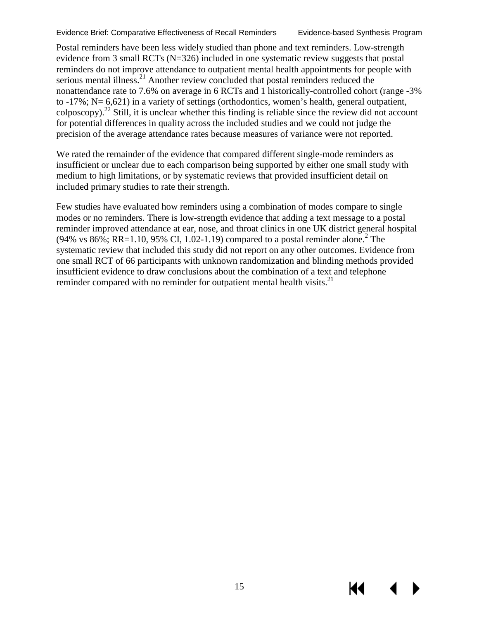Postal reminders have been less widely studied than phone and text reminders. Low-strength evidence from 3 small RCTs (N=326) included in one systematic review suggests that postal reminders do not improve attendance to outpatient mental health appointments for people with serious mental illness.<sup>[21](#page-24-3)</sup> Another review concluded that postal reminders reduced the nonattendance rate to 7.6% on average in 6 RCTs and 1 historically-controlled cohort (range -3% to -17%; N= 6,621) in a variety of settings (orthodontics, women's health, general outpatient, colposcopy)[.22](#page-24-5) Still, it is unclear whether this finding is reliable since the review did not account for potential differences in quality across the included studies and we could not judge the precision of the average attendance rates because measures of variance were not reported.

We rated the remainder of the evidence that compared different single-mode reminders as insufficient or unclear due to each comparison being supported by either one small study with medium to high limitations, or by systematic reviews that provided insufficient detail on included primary studies to rate their strength.

Few studies have evaluated how reminders using a combination of modes compare to single modes or no reminders. There is low-strength evidence that adding a text message to a postal reminder improved attendance at ear, nose, and throat clinics in one UK district general hospital (94% vs 86%; RR=1.10, 95% CI, 1.02-1.19) compared to a postal reminder alone.<sup>2</sup> The systematic review that included this study did not report on any other outcomes. Evidence from one small RCT of 66 participants with unknown randomization and blinding methods provided insufficient evidence to draw conclusions about the combination of a text and telephone reminder compared with no reminder for outpatient mental health visits. $^{21}$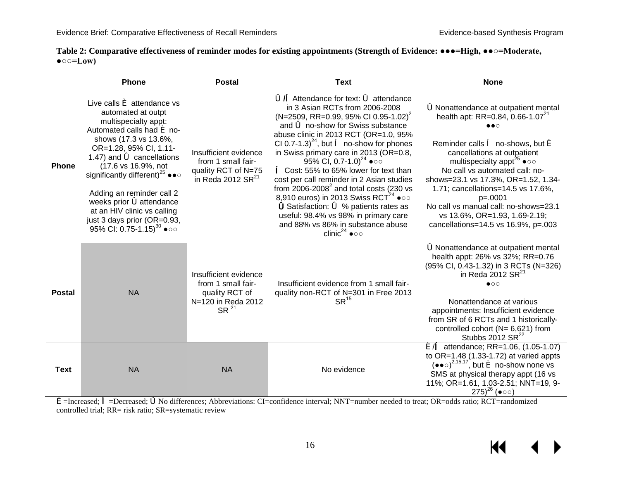| Table 2: Comparative effectiveness of reminder modes for existing appointments (Strength of Evidence: •••=High, ••○=Moderate, |  |
|-------------------------------------------------------------------------------------------------------------------------------|--|
| $\bullet \circ \circ = \mathbf{Low}$                                                                                          |  |

<span id="page-18-0"></span>

|               | <b>Phone</b>                                                                                                                                                                                                                                                                                                                                                                                                                                                                                               | <b>Postal</b>                                                                                           | <b>Text</b>                                                                                                                                                                                                                                                                                                                                                                                                                                                                                                                                                                                                                                                                                                                                                                           | <b>None</b>                                                                                                                                                                                                                                                                                                                                                                                                                                                                                           |
|---------------|------------------------------------------------------------------------------------------------------------------------------------------------------------------------------------------------------------------------------------------------------------------------------------------------------------------------------------------------------------------------------------------------------------------------------------------------------------------------------------------------------------|---------------------------------------------------------------------------------------------------------|---------------------------------------------------------------------------------------------------------------------------------------------------------------------------------------------------------------------------------------------------------------------------------------------------------------------------------------------------------------------------------------------------------------------------------------------------------------------------------------------------------------------------------------------------------------------------------------------------------------------------------------------------------------------------------------------------------------------------------------------------------------------------------------|-------------------------------------------------------------------------------------------------------------------------------------------------------------------------------------------------------------------------------------------------------------------------------------------------------------------------------------------------------------------------------------------------------------------------------------------------------------------------------------------------------|
| <b>Phone</b>  | Live calls $\acute{\mathbf{e}}$ attendance vs<br>automated at outpt<br>multispecialty appt:<br>Automated calls had $\acute{\mathbf{e}}$ no-<br>shows (17.3 vs 13.6%,<br>OR=1.28, 95% CI, 1.11-<br>1.47) and $\blacktriangleleft$ cancellations<br>(17.6 vs 16.9%, not<br>significantly different) <sup>25</sup> $\bullet\bullet\circ$<br>Adding an reminder call 2<br>weeks prior <b>Sattendance</b><br>at an HIV clinic vs calling<br>just 3 days prior (OR=0.93,<br>95% CI: 0.75-1.15) <sup>30</sup> ●○○ | Insufficient evidence<br>from 1 small fair-<br>quality RCT of N=75<br>in Reda 2012 $SR21$               | $\ddot{\bullet}$ / $\triangle$ Attendance for text: $\acute{\bullet}$ attendance<br>in 3 Asian RCTs from 2006-2008<br>$(N=2509, RR=0.99, 95\% \text{ CI } 0.95-1.02)^2$<br>and $\bigcirc$ no-show for Swiss substance<br>abuse clinic in 2013 RCT (OR=1.0, 95%<br>CI 0.7-1.3) <sup>24</sup> , but $\hat{e}$ no-show for phones<br>in Swiss primary care in 2013 (OR=0.8,<br>95% CI, 0.7-1.0) <sup>24</sup> $\bullet$<br><b>← Cost: 55% to 65% lower for text than</b><br>cost per call reminder in 2 Asian studies<br>from $2006 - 2008^2$ and total costs (230 vs<br>8,910 euros) in 2013 Swiss RCT <sup>24</sup> $\bullet$ oo<br>Satisfaction: 6 % patients rates as<br>useful: 98.4% vs 98% in primary care<br>and 88% vs 86% in substance abuse<br>clinic <sup>24</sup> $\bullet$ | 6Nonattendance at outpatient mental<br>health apt: RR=0.84, 0.66-1.07 <sup>21</sup><br>$\bullet\bullet\circ$<br>Reminder calls $\hat{e}$ no-shows, but $\hat{e}$<br>cancellations at outpatient<br>multispecialty appt <sup>25</sup> $\bullet$ oo<br>No call vs automated call: no-<br>shows=23.1 vs 17.3%, OR=1.52, 1.34-<br>1.71; cancellations=14.5 vs 17.6%,<br>$p=.0001$<br>No call vs manual call: no-shows=23.1<br>vs 13.6%, OR=1.93, 1.69-2.19;<br>cancellations= $14.5$ vs $16.9\%$ , p= 003 |
| <b>Postal</b> | <b>NA</b>                                                                                                                                                                                                                                                                                                                                                                                                                                                                                                  | Insufficient evidence<br>from 1 small fair-<br>quality RCT of<br>N=120 in Reda 2012<br>SR <sup>21</sup> | Insufficient evidence from 1 small fair-<br>quality non-RCT of N=301 in Free 2013<br>$SR^{15}$                                                                                                                                                                                                                                                                                                                                                                                                                                                                                                                                                                                                                                                                                        | óNonattendance at outpatient mental<br>health appt: 26% vs 32%; RR=0.76<br>(95% CI, 0.43-1.32) in 3 RCTs (N=326)<br>in Reda 2012 SR $^{21}$<br>$\bullet$ 00<br>Nonattendance at various<br>appointments: Insufficient evidence<br>from SR of 6 RCTs and 1 historically-<br>controlled cohort ( $N = 6,621$ ) from<br>Stubbs 2012 $SR^{22}$                                                                                                                                                            |
| <b>Text</b>   | <b>NA</b>                                                                                                                                                                                                                                                                                                                                                                                                                                                                                                  | <b>NA</b>                                                                                               | No evidence                                                                                                                                                                                                                                                                                                                                                                                                                                                                                                                                                                                                                                                                                                                                                                           | $\acute{\bullet}$ attendance; RR=1.06, (1.05-1.07)<br>to $OR=1.48$ (1.33-1.72) at varied appts<br>$(\bullet \bullet \circ)^{2,15,17}$ , but $\bullet$ no-show none vs<br>SMS at physical therapy appt (16 vs<br>11%; OR=1.61, 1.03-2.51; NNT=19, 9-<br>$(275)^{26}$ ( $\bullet$ ⊙⊙)                                                                                                                                                                                                                   |

é=Increased; ê**=**Decreased; óNo differences; Abbreviations: CI=confidence interval; NNT=number needed to treat; OR=odds ratio; RCT=randomized controlled trial; RR= risk ratio; SR=systematic review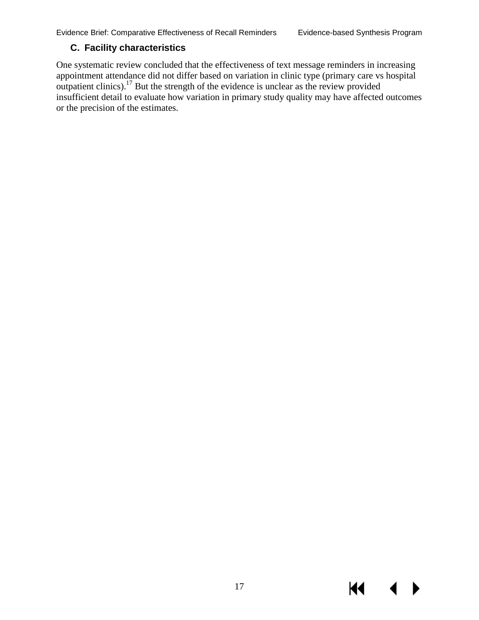KI

#### <span id="page-19-0"></span>**C. Facility characteristics**

One systematic review concluded that the effectiveness of text message reminders in increasing appointment attendance did not differ based on variation in clinic type (primary care vs hospital outpatient clinics).<sup>17</sup> But the strength of the evidence is unclear as the review provided insufficient detail to evaluate how variation in primary study quality may have affected outcomes or the precision of the estimates.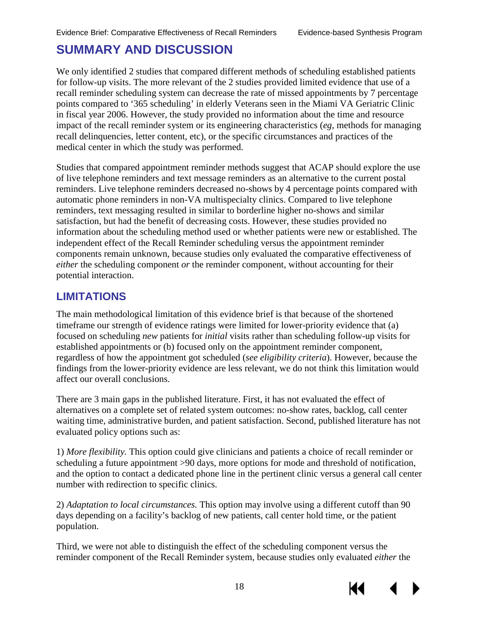# <span id="page-20-0"></span>**SUMMARY AND DISCUSSION**

We only identified 2 studies that compared different methods of scheduling established patients for follow-up visits. The more relevant of the 2 studies provided limited evidence that use of a recall reminder scheduling system can decrease the rate of missed appointments by 7 percentage points compared to '365 scheduling' in elderly Veterans seen in the Miami VA Geriatric Clinic in fiscal year 2006. However, the study provided no information about the time and resource impact of the recall reminder system or its engineering characteristics (*eg*, methods for managing recall delinquencies, letter content, etc), or the specific circumstances and practices of the medical center in which the study was performed.

Studies that compared appointment reminder methods suggest that ACAP should explore the use of live telephone reminders and text message reminders as an alternative to the current postal reminders. Live telephone reminders decreased no-shows by 4 percentage points compared with automatic phone reminders in non-VA multispecialty clinics. Compared to live telephone reminders, text messaging resulted in similar to borderline higher no-shows and similar satisfaction, but had the benefit of decreasing costs. However, these studies provided no information about the scheduling method used or whether patients were new or established. The independent effect of the Recall Reminder scheduling versus the appointment reminder components remain unknown, because studies only evaluated the comparative effectiveness of *either* the scheduling component *or* the reminder component, without accounting for their potential interaction.

#### <span id="page-20-1"></span>**LIMITATIONS**

The main methodological limitation of this evidence brief is that because of the shortened timeframe our strength of evidence ratings were limited for lower-priority evidence that (a) focused on scheduling *new* patients for *initial* visits rather than scheduling follow-up visits for established appointments or (b) focused only on the appointment reminder component, regardless of how the appointment got scheduled (*see eligibility criteria*). However, because the findings from the lower-priority evidence are less relevant, we do not think this limitation would affect our overall conclusions.

There are 3 main gaps in the published literature. First, it has not evaluated the effect of alternatives on a complete set of related system outcomes: no-show rates, backlog, call center waiting time, administrative burden, and patient satisfaction. Second, published literature has not evaluated policy options such as:

1) *More flexibility.* This option could give clinicians and patients a choice of recall reminder or scheduling a future appointment >90 days, more options for mode and threshold of notification, and the option to contact a dedicated phone line in the pertinent clinic versus a general call center number with redirection to specific clinics.

2) *Adaptation to local circumstances.* This option may involve using a different cutoff than 90 days depending on a facility's backlog of new patients, call center hold time, or the patient population.

Third, we were not able to distinguish the effect of the scheduling component versus the reminder component of the Recall Reminder system, because studies only evaluated *either* the

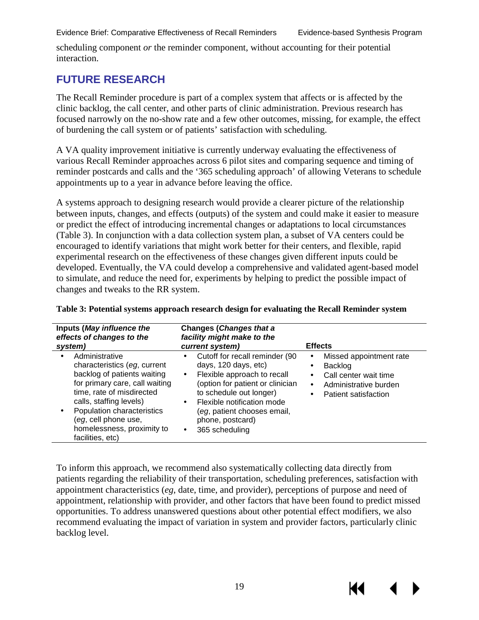scheduling component *or* the reminder component, without accounting for their potential interaction.

#### <span id="page-21-0"></span>**FUTURE RESEARCH**

The Recall Reminder procedure is part of a complex system that affects or is affected by the clinic backlog, the call center, and other parts of clinic administration. Previous research has focused narrowly on the no-show rate and a few other outcomes, missing, for example, the effect of burdening the call system or of patients' satisfaction with scheduling.

A VA quality improvement initiative is currently underway evaluating the effectiveness of various Recall Reminder approaches across 6 pilot sites and comparing sequence and timing of reminder postcards and calls and the '365 scheduling approach' of allowing Veterans to schedule appointments up to a year in advance before leaving the office.

A systems approach to designing research would provide a clearer picture of the relationship between inputs, changes, and effects (outputs) of the system and could make it easier to measure or predict the effect of introducing incremental changes or adaptations to local circumstances (Table 3). In conjunction with a data collection system plan, a subset of VA centers could be encouraged to identify variations that might work better for their centers, and flexible, rapid experimental research on the effectiveness of these changes given different inputs could be developed. Eventually, the VA could develop a comprehensive and validated agent-based model to simulate, and reduce the need for, experiments by helping to predict the possible impact of changes and tweaks to the RR system.

| Inputs (May influence the<br>effects of changes to the<br>system)                                                                                                                                                                                                               | Changes (Changes that a<br>facility might make to the<br>current system)                                                                                                                                                                                            | <b>Effects</b>                                                                                                                                                    |
|---------------------------------------------------------------------------------------------------------------------------------------------------------------------------------------------------------------------------------------------------------------------------------|---------------------------------------------------------------------------------------------------------------------------------------------------------------------------------------------------------------------------------------------------------------------|-------------------------------------------------------------------------------------------------------------------------------------------------------------------|
| Administrative<br>characteristics (eg, current<br>backlog of patients waiting<br>for primary care, call waiting<br>time, rate of misdirected<br>calls, staffing levels)<br>Population characteristics<br>(eg, cell phone use,<br>homelessness, proximity to<br>facilities, etc) | Cutoff for recall reminder (90<br>days, 120 days, etc)<br>Flexible approach to recall<br>٠.<br>(option for patient or clinician<br>to schedule out longer)<br>Flexible notification mode<br>٠.<br>(eg, patient chooses email,<br>phone, postcard)<br>365 scheduling | Missed appointment rate<br>$\blacksquare$<br>Backlog<br>٠.<br>Call center wait time<br>٠<br>Administrative burden<br>٠.<br>Patient satisfaction<br>$\blacksquare$ |

#### <span id="page-21-1"></span>**Table 3: Potential systems approach research design for evaluating the Recall Reminder system**

To inform this approach, we recommend also systematically collecting data directly from patients regarding the reliability of their transportation, scheduling preferences, satisfaction with appointment characteristics (*eg*, date, time, and provider), perceptions of purpose and need of appointment, relationship with provider, and other factors that have been found to predict missed opportunities. To address unanswered questions about other potential effect modifiers, we also recommend evaluating the impact of variation in system and provider factors, particularly clinic backlog level.

К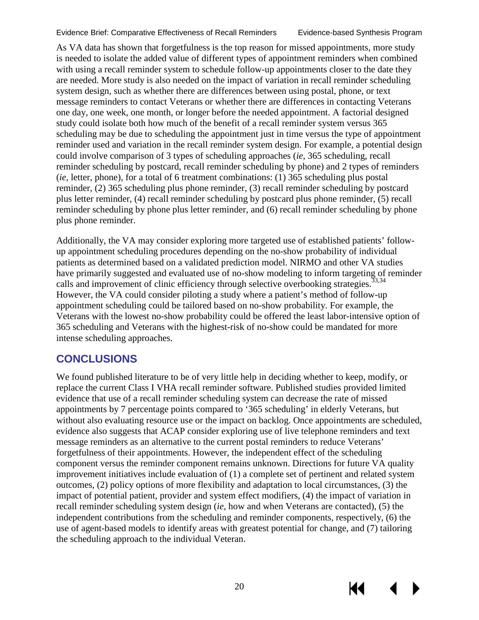К

As VA data has shown that forgetfulness is the top reason for missed appointments, more study is needed to isolate the added value of different types of appointment reminders when combined with using a recall reminder system to schedule follow-up appointments closer to the date they are needed. More study is also needed on the impact of variation in recall reminder scheduling system design, such as whether there are differences between using postal, phone, or text message reminders to contact Veterans or whether there are differences in contacting Veterans one day, one week, one month, or longer before the needed appointment. A factorial designed study could isolate both how much of the benefit of a recall reminder system versus 365 scheduling may be due to scheduling the appointment just in time versus the type of appointment reminder used and variation in the recall reminder system design. For example, a potential design could involve comparison of 3 types of scheduling approaches (*ie*, 365 scheduling, recall reminder scheduling by postcard, recall reminder scheduling by phone) and 2 types of reminders (*ie*, letter, phone), for a total of 6 treatment combinations: (1) 365 scheduling plus postal reminder, (2) 365 scheduling plus phone reminder, (3) recall reminder scheduling by postcard plus letter reminder, (4) recall reminder scheduling by postcard plus phone reminder, (5) recall reminder scheduling by phone plus letter reminder, and (6) recall reminder scheduling by phone plus phone reminder.

Additionally, the VA may consider exploring more targeted use of established patients' followup appointment scheduling procedures depending on the no-show probability of individual patients as determined based on a validated prediction model. NIRMO and other VA studies have primarily suggested and evaluated use of no-show modeling to inform targeting of reminder calls and improvement of clinic efficiency through selective overbooking strategies.<sup>33[,34](#page-24-19)</sup> However, the VA could consider piloting a study where a patient's method of follow-up appointment scheduling could be tailored based on no-show probability. For example, the Veterans with the lowest no-show probability could be offered the least labor-intensive option of 365 scheduling and Veterans with the highest-risk of no-show could be mandated for more intense scheduling approaches.

### <span id="page-22-0"></span>**CONCLUSIONS**

We found published literature to be of very little help in deciding whether to keep, modify, or replace the current Class I VHA recall reminder software. Published studies provided limited evidence that use of a recall reminder scheduling system can decrease the rate of missed appointments by 7 percentage points compared to '365 scheduling' in elderly Veterans, but without also evaluating resource use or the impact on backlog. Once appointments are scheduled, evidence also suggests that ACAP consider exploring use of live telephone reminders and text message reminders as an alternative to the current postal reminders to reduce Veterans' forgetfulness of their appointments. However, the independent effect of the scheduling component versus the reminder component remains unknown. Directions for future VA quality improvement initiatives include evaluation of (1) a complete set of pertinent and related system outcomes, (2) policy options of more flexibility and adaptation to local circumstances, (3) the impact of potential patient, provider and system effect modifiers, (4) the impact of variation in recall reminder scheduling system design (*ie*, how and when Veterans are contacted), (5) the independent contributions from the scheduling and reminder components, respectively, (6) the use of agent-based models to identify areas with greatest potential for change, and (7) tailoring the scheduling approach to the individual Veteran.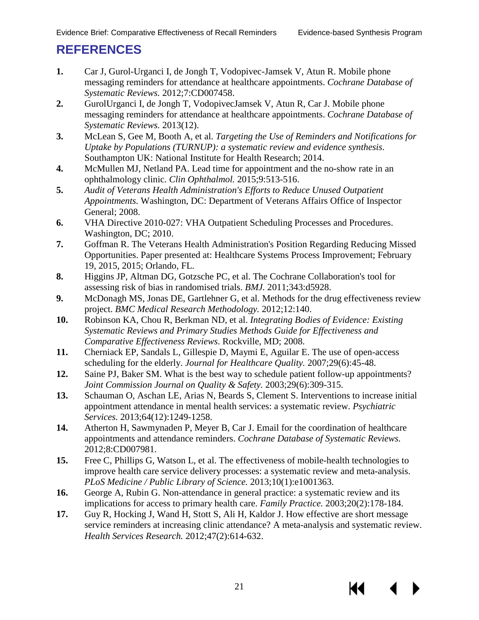# <span id="page-23-15"></span><span id="page-23-0"></span>**REFERENCES**

- <span id="page-23-1"></span>**1.** Car J, Gurol-Urganci I, de Jongh T, Vodopivec-Jamsek V, Atun R. Mobile phone messaging reminders for attendance at healthcare appointments. *Cochrane Database of Systematic Reviews.* 2012;7:CD007458.
- <span id="page-23-11"></span>**2.** GurolUrganci I, de Jongh T, VodopivecJamsek V, Atun R, Car J. Mobile phone messaging reminders for attendance at healthcare appointments. *Cochrane Database of Systematic Reviews.* 2013(12).
- <span id="page-23-12"></span>**3.** McLean S, Gee M, Booth A, et al. *Targeting the Use of Reminders and Notifications for Uptake by Populations (TURNUP): a systematic review and evidence synthesis*. Southampton UK: National Institute for Health Research; 2014.
- **4.** McMullen MJ, Netland PA. Lead time for appointment and the no-show rate in an ophthalmology clinic. *Clin Ophthalmol.* 2015;9:513-516.
- <span id="page-23-2"></span>**5.** *Audit of Veterans Health Administration's Efforts to Reduce Unused Outpatient Appointments.* Washington, DC: Department of Veterans Affairs Office of Inspector General; 2008.
- <span id="page-23-3"></span>**6.** VHA Directive 2010-027: VHA Outpatient Scheduling Processes and Procedures. Washington, DC; 2010.
- <span id="page-23-4"></span>**7.** Goffman R. The Veterans Health Administration's Position Regarding Reducing Missed Opportunities. Paper presented at: Healthcare Systems Process Improvement; February 19, 2015, 2015; Orlando, FL.
- <span id="page-23-5"></span>**8.** Higgins JP, Altman DG, Gotzsche PC, et al. The Cochrane Collaboration's tool for assessing risk of bias in randomised trials. *BMJ.* 2011;343:d5928.
- <span id="page-23-6"></span>**9.** McDonagh MS, Jonas DE, Gartlehner G, et al. Methods for the drug effectiveness review project. *BMC Medical Research Methodology.* 2012;12:140.
- <span id="page-23-16"></span><span id="page-23-7"></span>**10.** Robinson KA, Chou R, Berkman ND, et al. *Integrating Bodies of Evidence: Existing Systematic Reviews and Primary Studies Methods Guide for Effectiveness and Comparative Effectiveness Reviews*. Rockville, MD; 2008.
- <span id="page-23-8"></span>**11.** Cherniack EP, Sandals L, Gillespie D, Maymi E, Aguilar E. The use of open-access scheduling for the elderly. *Journal for Healthcare Quality.* 2007;29(6):45-48.
- <span id="page-23-17"></span><span id="page-23-9"></span>**12.** Saine PJ, Baker SM. What is the best way to schedule patient follow-up appointments? *Joint Commission Journal on Quality & Safety.* 2003;29(6):309-315.
- <span id="page-23-10"></span>**13.** Schauman O, Aschan LE, Arias N, Beards S, Clement S. Interventions to increase initial appointment attendance in mental health services: a systematic review. *Psychiatric Services.* 2013;64(12):1249-1258.
- **14.** Atherton H, Sawmynaden P, Meyer B, Car J. Email for the coordination of healthcare appointments and attendance reminders. *Cochrane Database of Systematic Reviews.*  2012;8:CD007981.
- **15.** Free C, Phillips G, Watson L, et al. The effectiveness of mobile-health technologies to improve health care service delivery processes: a systematic review and meta-analysis. *PLoS Medicine / Public Library of Science.* 2013;10(1):e1001363.
- <span id="page-23-14"></span>**16.** George A, Rubin G. Non-attendance in general practice: a systematic review and its implications for access to primary health care. *Family Practice.* 2003;20(2):178-184.
- <span id="page-23-13"></span>**17.** Guy R, Hocking J, Wand H, Stott S, Ali H, Kaldor J. How effective are short message service reminders at increasing clinic attendance? A meta-analysis and systematic review. *Health Services Research.* 2012;47(2):614-632.